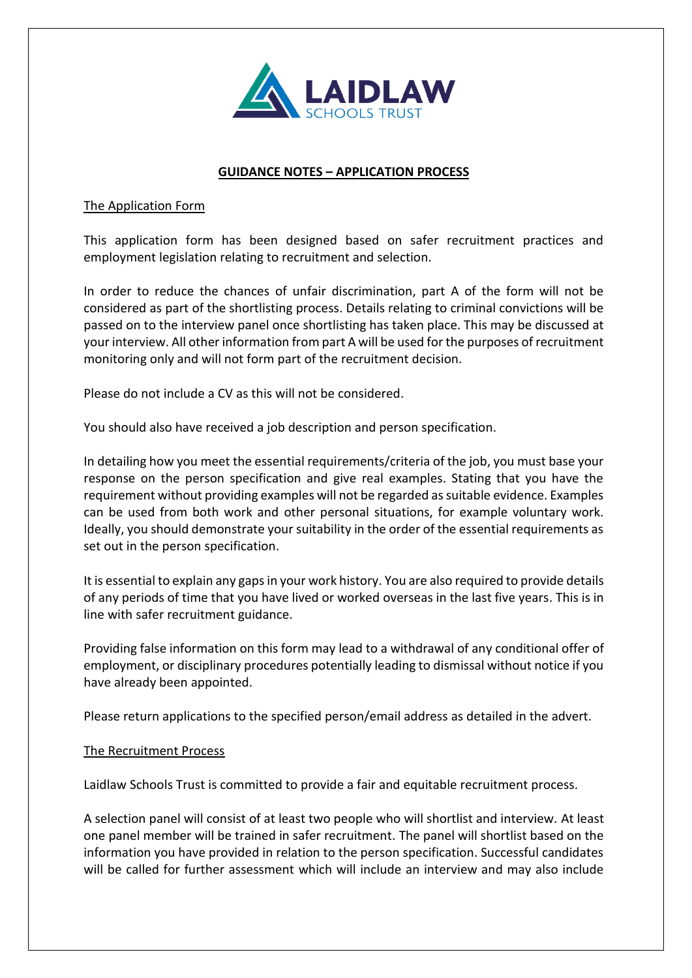

# **GUIDANCE NOTES – APPLICATION PROCESS**

### The Application Form

This application form has been designed based on safer recruitment practices and employment legislation relating to recruitment and selection.

In order to reduce the chances of unfair discrimination, part A of the form will not be considered as part of the shortlisting process. Details relating to criminal convictions will be passed on to the interview panel once shortlisting has taken place. This may be discussed at your interview. All other information from part A will be used for the purposes of recruitment monitoring only and will not form part of the recruitment decision.

Please do not include a CV as this will not be considered.

You should also have received a job description and person specification.

In detailing how you meet the essential requirements/criteria of the job, you must base your response on the person specification and give real examples. Stating that you have the requirement without providing examples will not be regarded as suitable evidence. Examples can be used from both work and other personal situations, for example voluntary work. Ideally, you should demonstrate your suitability in the order of the essential requirements as set out in the person specification.

It is essential to explain any gaps in your work history. You are also required to provide details of any periods of time that you have lived or worked overseas in the last five years. This is in line with safer recruitment guidance.

Providing false information on this form may lead to a withdrawal of any conditional offer of employment, or disciplinary procedures potentially leading to dismissal without notice if you have already been appointed.

Please return applications to the specified person/email address as detailed in the advert.

## The Recruitment Process

Laidlaw Schools Trust is committed to provide a fair and equitable recruitment process.

A selection panel will consist of at least two people who will shortlist and interview. At least one panel member will be trained in safer recruitment. The panel will shortlist based on the information you have provided in relation to the person specification. Successful candidates will be called for further assessment which will include an interview and may also include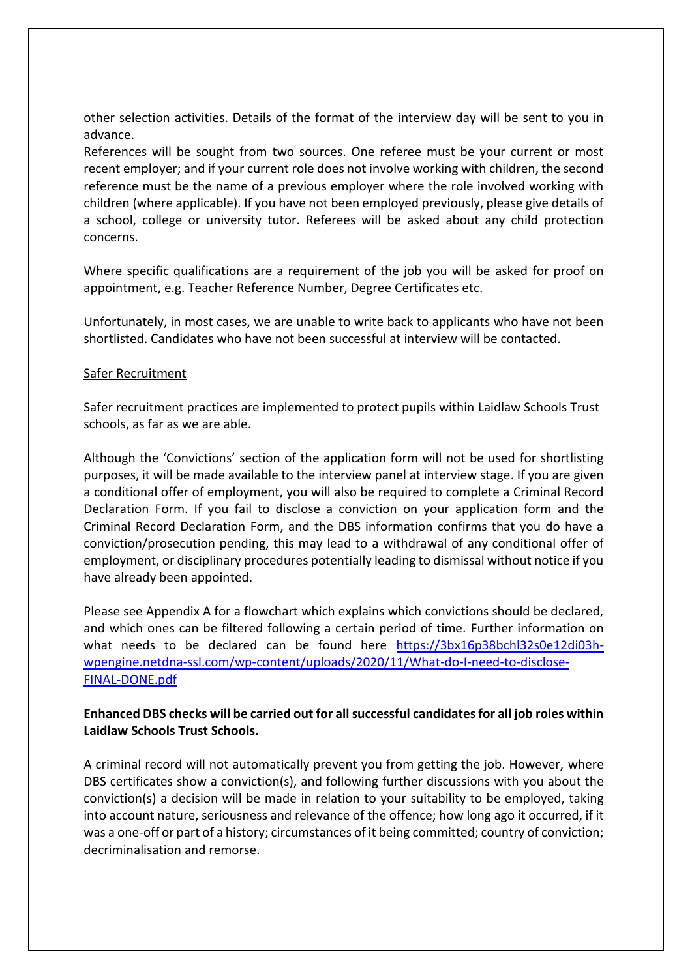other selection activities. Details of the format of the interview day will be sent to you in advance.

References will be sought from two sources. One referee must be your current or most recent employer; and if your current role does not involve working with children, the second reference must be the name of a previous employer where the role involved working with children (where applicable). If you have not been employed previously, please give details of a school, college or university tutor. Referees will be asked about any child protection concerns.

Where specific qualifications are a requirement of the job you will be asked for proof on appointment, e.g. Teacher Reference Number, Degree Certificates etc.

Unfortunately, in most cases, we are unable to write back to applicants who have not been shortlisted. Candidates who have not been successful at interview will be contacted.

#### Safer Recruitment

Safer recruitment practices are implemented to protect pupils within Laidlaw Schools Trust schools, as far as we are able.

Although the 'Convictions' section of the application form will not be used for shortlisting purposes, it will be made available to the interview panel at interview stage. If you are given a conditional offer of employment, you will also be required to complete a Criminal Record Declaration Form. If you fail to disclose a conviction on your application form and the Criminal Record Declaration Form, and the DBS information confirms that you do have a conviction/prosecution pending, this may lead to a withdrawal of any conditional offer of employment, or disciplinary procedures potentially leading to dismissal without notice if you have already been appointed.

Please see Appendix A for a flowchart which explains which convictions should be declared, and which ones can be filtered following a certain period of time. Further information on what needs to be declared can be found here [https://3bx16p38bchl32s0e12di03h](https://3bx16p38bchl32s0e12di03h-wpengine.netdna-ssl.com/wp-content/uploads/2020/11/What-do-I-need-to-disclose-FINAL-DONE.pdf)[wpengine.netdna-ssl.com/wp-content/uploads/2020/11/What-do-I-need-to-disclose-](https://3bx16p38bchl32s0e12di03h-wpengine.netdna-ssl.com/wp-content/uploads/2020/11/What-do-I-need-to-disclose-FINAL-DONE.pdf)[FINAL-DONE.pdf](https://3bx16p38bchl32s0e12di03h-wpengine.netdna-ssl.com/wp-content/uploads/2020/11/What-do-I-need-to-disclose-FINAL-DONE.pdf)

## **Enhanced DBS checks will be carried out for all successful candidates for all job roles within Laidlaw Schools Trust Schools.**

A criminal record will not automatically prevent you from getting the job. However, where DBS certificates show a conviction(s), and following further discussions with you about the conviction(s) a decision will be made in relation to your suitability to be employed, taking into account nature, seriousness and relevance of the offence; how long ago it occurred, if it was a one-off or part of a history; circumstances of it being committed; country of conviction; decriminalisation and remorse.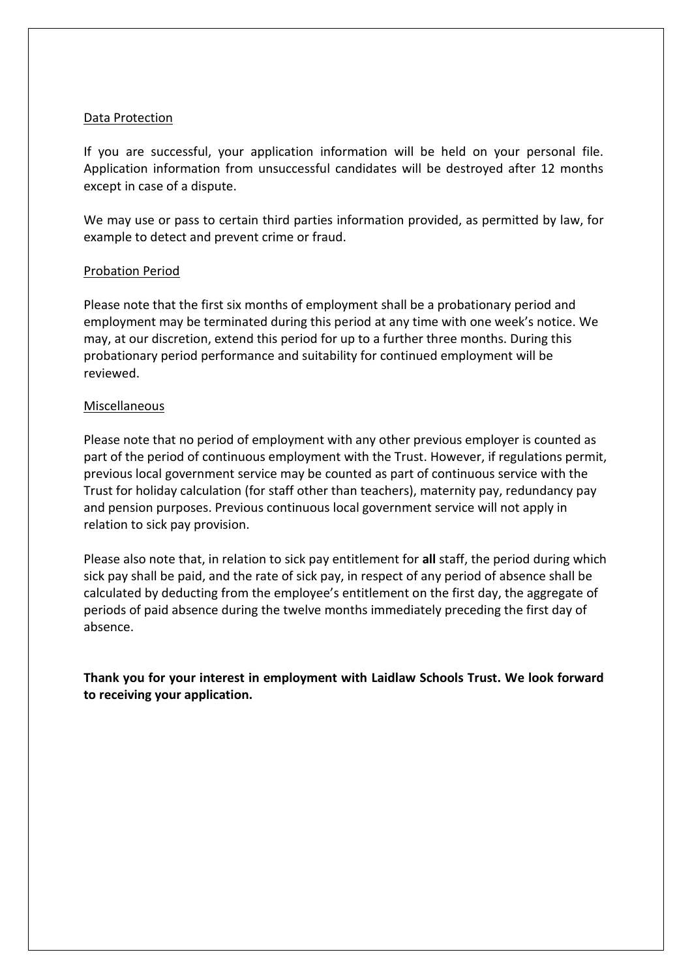## Data Protection

If you are successful, your application information will be held on your personal file. Application information from unsuccessful candidates will be destroyed after 12 months except in case of a dispute.

We may use or pass to certain third parties information provided, as permitted by law, for example to detect and prevent crime or fraud.

### Probation Period

Please note that the first six months of employment shall be a probationary period and employment may be terminated during this period at any time with one week's notice. We may, at our discretion, extend this period for up to a further three months. During this probationary period performance and suitability for continued employment will be reviewed.

### Miscellaneous

Please note that no period of employment with any other previous employer is counted as part of the period of continuous employment with the Trust. However, if regulations permit, previous local government service may be counted as part of continuous service with the Trust for holiday calculation (for staff other than teachers), maternity pay, redundancy pay and pension purposes. Previous continuous local government service will not apply in relation to sick pay provision.

Please also note that, in relation to sick pay entitlement for **all** staff, the period during which sick pay shall be paid, and the rate of sick pay, in respect of any period of absence shall be calculated by deducting from the employee's entitlement on the first day, the aggregate of periods of paid absence during the twelve months immediately preceding the first day of absence.

**Thank you for your interest in employment with Laidlaw Schools Trust. We look forward to receiving your application.**